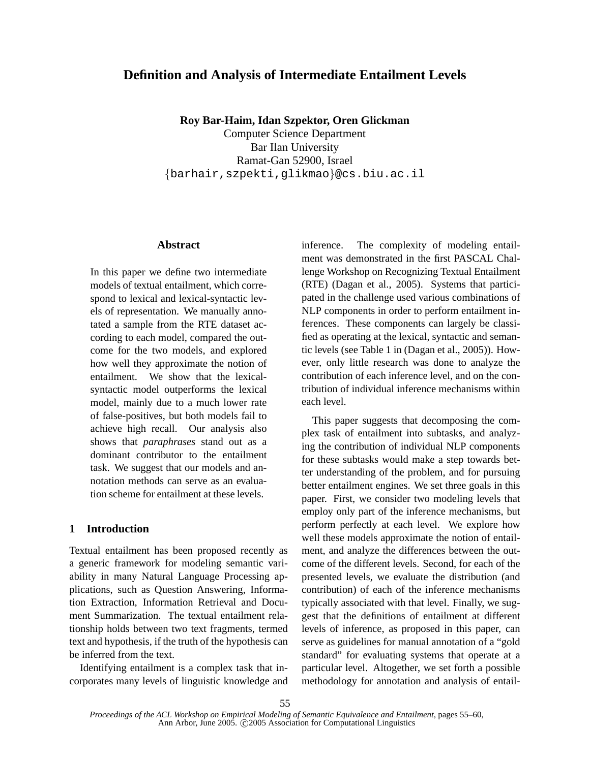# **Definition and Analysis of Intermediate Entailment Levels**

**Roy Bar-Haim, Idan Szpektor, Oren Glickman**

Computer Science Department Bar Ilan University Ramat-Gan 52900, Israel {barhair,szpekti,glikmao}@cs.biu.ac.il

### **Abstract**

In this paper we define two intermediate models of textual entailment, which correspond to lexical and lexical-syntactic levels of representation. We manually annotated a sample from the RTE dataset according to each model, compared the outcome for the two models, and explored how well they approximate the notion of entailment. We show that the lexicalsyntactic model outperforms the lexical model, mainly due to a much lower rate of false-positives, but both models fail to achieve high recall. Our analysis also shows that *paraphrases* stand out as a dominant contributor to the entailment task. We suggest that our models and annotation methods can serve as an evaluation scheme for entailment at these levels.

### **1 Introduction**

Textual entailment has been proposed recently as a generic framework for modeling semantic variability in many Natural Language Processing applications, such as Question Answering, Information Extraction, Information Retrieval and Document Summarization. The textual entailment relationship holds between two text fragments, termed text and hypothesis, if the truth of the hypothesis can be inferred from the text.

Identifying entailment is a complex task that incorporates many levels of linguistic knowledge and inference. The complexity of modeling entailment was demonstrated in the first PASCAL Challenge Workshop on Recognizing Textual Entailment (RTE) (Dagan et al., 2005). Systems that participated in the challenge used various combinations of NLP components in order to perform entailment inferences. These components can largely be classified as operating at the lexical, syntactic and semantic levels (see Table 1 in (Dagan et al., 2005)). However, only little research was done to analyze the contribution of each inference level, and on the contribution of individual inference mechanisms within each level.

This paper suggests that decomposing the complex task of entailment into subtasks, and analyzing the contribution of individual NLP components for these subtasks would make a step towards better understanding of the problem, and for pursuing better entailment engines. We set three goals in this paper. First, we consider two modeling levels that employ only part of the inference mechanisms, but perform perfectly at each level. We explore how well these models approximate the notion of entailment, and analyze the differences between the outcome of the different levels. Second, for each of the presented levels, we evaluate the distribution (and contribution) of each of the inference mechanisms typically associated with that level. Finally, we suggest that the definitions of entailment at different levels of inference, as proposed in this paper, can serve as guidelines for manual annotation of a "gold standard" for evaluating systems that operate at a particular level. Altogether, we set forth a possible methodology for annotation and analysis of entail-

*Proceedings of the ACL Workshop on Empirical Modeling of Semantic Equivalence and Entailment*, pages 55–60, Ann Arbor, June 2005. ©2005 Association for Computational Linguistics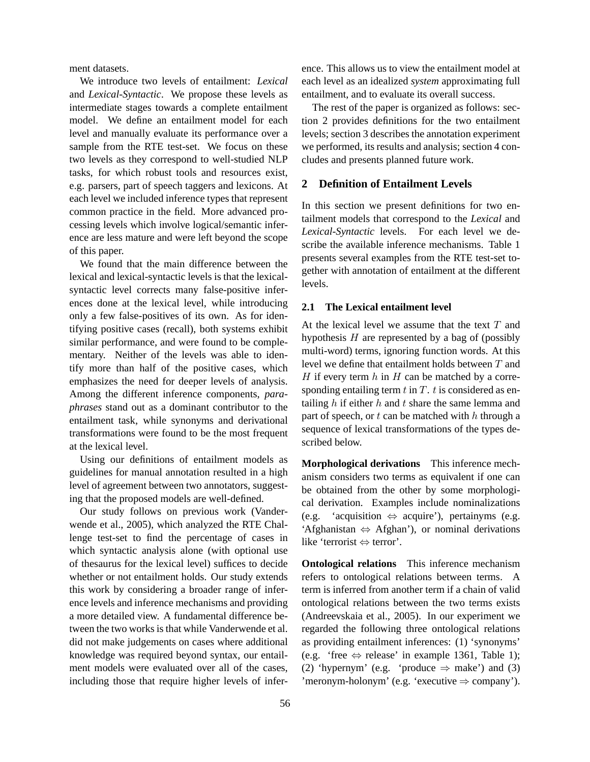ment datasets.

We introduce two levels of entailment: *Lexical* and *Lexical-Syntactic*. We propose these levels as intermediate stages towards a complete entailment model. We define an entailment model for each level and manually evaluate its performance over a sample from the RTE test-set. We focus on these two levels as they correspond to well-studied NLP tasks, for which robust tools and resources exist, e.g. parsers, part of speech taggers and lexicons. At each level we included inference types that represent common practice in the field. More advanced processing levels which involve logical/semantic inference are less mature and were left beyond the scope of this paper.

We found that the main difference between the lexical and lexical-syntactic levels is that the lexicalsyntactic level corrects many false-positive inferences done at the lexical level, while introducing only a few false-positives of its own. As for identifying positive cases (recall), both systems exhibit similar performance, and were found to be complementary. Neither of the levels was able to identify more than half of the positive cases, which emphasizes the need for deeper levels of analysis. Among the different inference components, *paraphrases* stand out as a dominant contributor to the entailment task, while synonyms and derivational transformations were found to be the most frequent at the lexical level.

Using our definitions of entailment models as guidelines for manual annotation resulted in a high level of agreement between two annotators, suggesting that the proposed models are well-defined.

Our study follows on previous work (Vanderwende et al., 2005), which analyzed the RTE Challenge test-set to find the percentage of cases in which syntactic analysis alone (with optional use of thesaurus for the lexical level) suffices to decide whether or not entailment holds. Our study extends this work by considering a broader range of inference levels and inference mechanisms and providing a more detailed view. A fundamental difference between the two works is that while Vanderwende et al. did not make judgements on cases where additional knowledge was required beyond syntax, our entailment models were evaluated over all of the cases, including those that require higher levels of inference. This allows us to view the entailment model at each level as an idealized *system* approximating full entailment, and to evaluate its overall success.

The rest of the paper is organized as follows: section 2 provides definitions for the two entailment levels; section 3 describes the annotation experiment we performed, its results and analysis; section 4 concludes and presents planned future work.

### **2 Definition of Entailment Levels**

In this section we present definitions for two entailment models that correspond to the *Lexical* and *Lexical-Syntactic* levels. For each level we describe the available inference mechanisms. Table 1 presents several examples from the RTE test-set together with annotation of entailment at the different levels.

### **2.1 The Lexical entailment level**

At the lexical level we assume that the text  $T$  and hypothesis  $H$  are represented by a bag of (possibly multi-word) terms, ignoring function words. At this level we define that entailment holds between T and H if every term  $h$  in  $H$  can be matched by a corresponding entailing term  $t$  in  $T$ .  $t$  is considered as entailing  $h$  if either  $h$  and  $t$  share the same lemma and part of speech, or  $t$  can be matched with  $h$  through a sequence of lexical transformations of the types described below.

**Morphological derivations** This inference mechanism considers two terms as equivalent if one can be obtained from the other by some morphological derivation. Examples include nominalizations (e.g. 'acquisition  $\Leftrightarrow$  acquire'), pertainyms (e.g. 'Afghanistan ⇔ Afghan'), or nominal derivations like 'terrorist ⇔ terror'.

**Ontological relations** This inference mechanism refers to ontological relations between terms. A term is inferred from another term if a chain of valid ontological relations between the two terms exists (Andreevskaia et al., 2005). In our experiment we regarded the following three ontological relations as providing entailment inferences: (1) 'synonyms' (e.g. 'free  $\Leftrightarrow$  release' in example 1361, Table 1); (2) 'hypernym' (e.g. 'produce  $\Rightarrow$  make') and (3) 'meronym-holonym' (e.g. 'executive ⇒ company').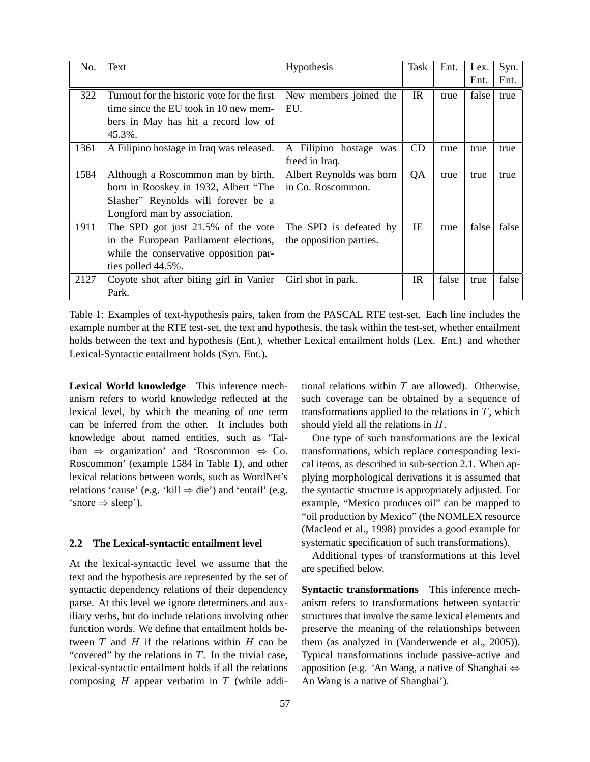| No.  | Text                                        | Hypothesis               | Task | Ent.  | Lex.  | Syn.  |
|------|---------------------------------------------|--------------------------|------|-------|-------|-------|
|      |                                             |                          |      |       | Ent.  | Ent.  |
| 322  | Turnout for the historic vote for the first | New members joined the   | IR   | true  | false | true  |
|      | time since the EU took in 10 new mem-       | EU.                      |      |       |       |       |
|      | bers in May has hit a record low of         |                          |      |       |       |       |
|      | 45.3%.                                      |                          |      |       |       |       |
| 1361 | A Filipino hostage in Iraq was released.    | A Filipino hostage was   | CD   | true  | true  | true  |
|      |                                             | freed in Iraq.           |      |       |       |       |
| 1584 | Although a Roscommon man by birth,          | Albert Reynolds was born | QA   | true  | true  | true  |
|      | born in Rooskey in 1932, Albert "The        | in Co. Roscommon.        |      |       |       |       |
|      | Slasher" Reynolds will forever be a         |                          |      |       |       |       |
|      | Longford man by association.                |                          |      |       |       |       |
| 1911 | The SPD got just 21.5% of the vote          | The SPD is defeated by   | IE   | true  | false | false |
|      | in the European Parliament elections,       | the opposition parties.  |      |       |       |       |
|      | while the conservative opposition par-      |                          |      |       |       |       |
|      | ties polled 44.5%.                          |                          |      |       |       |       |
| 2127 | Coyote shot after biting girl in Vanier     | Girl shot in park.       | IR   | false | true  | false |
|      | Park.                                       |                          |      |       |       |       |

Table 1: Examples of text-hypothesis pairs, taken from the PASCAL RTE test-set. Each line includes the example number at the RTE test-set, the text and hypothesis, the task within the test-set, whether entailment holds between the text and hypothesis (Ent.), whether Lexical entailment holds (Lex. Ent.) and whether Lexical-Syntactic entailment holds (Syn. Ent.).

**Lexical World knowledge** This inference mechanism refers to world knowledge reflected at the lexical level, by which the meaning of one term can be inferred from the other. It includes both knowledge about named entities, such as 'Taliban  $\Rightarrow$  organization' and 'Roscommon  $\Leftrightarrow$  Co. Roscommon' (example 1584 in Table 1), and other lexical relations between words, such as WordNet's relations 'cause' (e.g. 'kill  $\Rightarrow$  die') and 'entail' (e.g. 'snore  $\Rightarrow$  sleep').

#### **2.2 The Lexical-syntactic entailment level**

At the lexical-syntactic level we assume that the text and the hypothesis are represented by the set of syntactic dependency relations of their dependency parse. At this level we ignore determiners and auxiliary verbs, but do include relations involving other function words. We define that entailment holds between  $T$  and  $H$  if the relations within  $H$  can be "covered" by the relations in  $T$ . In the trivial case, lexical-syntactic entailment holds if all the relations composing  $H$  appear verbatim in  $T$  (while addi-

57

tional relations within  $T$  are allowed). Otherwise, such coverage can be obtained by a sequence of transformations applied to the relations in  $T$ , which should yield all the relations in H.

One type of such transformations are the lexical transformations, which replace corresponding lexical items, as described in sub-section 2.1. When applying morphological derivations it is assumed that the syntactic structure is appropriately adjusted. For example, "Mexico produces oil" can be mapped to "oil production by Mexico" (the NOMLEX resource (Macleod et al., 1998) provides a good example for systematic specification of such transformations).

Additional types of transformations at this level are specified below.

**Syntactic transformations** This inference mechanism refers to transformations between syntactic structures that involve the same lexical elements and preserve the meaning of the relationships between them (as analyzed in (Vanderwende et al., 2005)). Typical transformations include passive-active and apposition (e.g. 'An Wang, a native of Shanghai ⇔ An Wang is a native of Shanghai').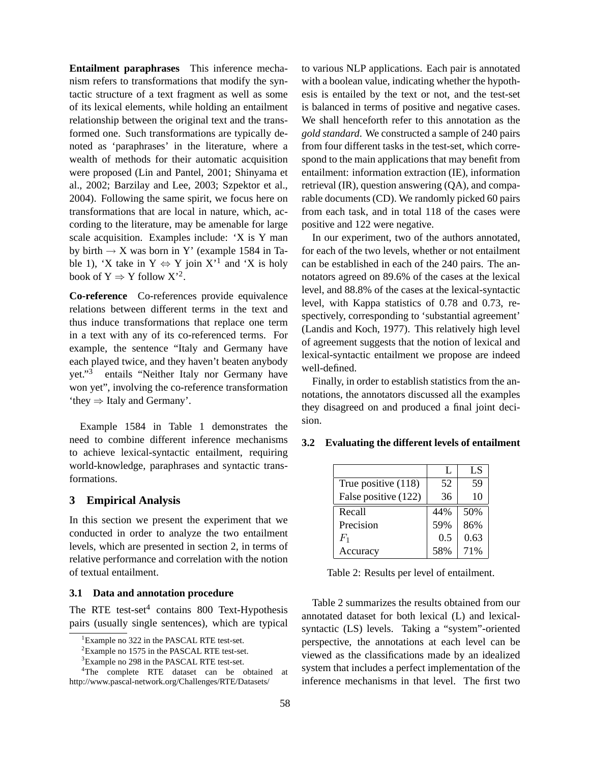**Entailment paraphrases** This inference mechanism refers to transformations that modify the syntactic structure of a text fragment as well as some of its lexical elements, while holding an entailment relationship between the original text and the transformed one. Such transformations are typically denoted as 'paraphrases' in the literature, where a wealth of methods for their automatic acquisition were proposed (Lin and Pantel, 2001; Shinyama et al., 2002; Barzilay and Lee, 2003; Szpektor et al., 2004). Following the same spirit, we focus here on transformations that are local in nature, which, according to the literature, may be amenable for large scale acquisition. Examples include: 'X is Y man by birth  $\rightarrow X$  was born in Y' (example 1584 in Table 1), 'X take in  $Y \Leftrightarrow Y$  join  $X'$ <sup>1</sup> and 'X is holy book of  $Y \Rightarrow Y$  follow  $X^2$ .

**Co-reference** Co-references provide equivalence relations between different terms in the text and thus induce transformations that replace one term in a text with any of its co-referenced terms. For example, the sentence "Italy and Germany have each played twice, and they haven't beaten anybody yet."<sup>3</sup> entails "Neither Italy nor Germany have won yet", involving the co-reference transformation 'they ⇒ Italy and Germany'.

Example 1584 in Table 1 demonstrates the need to combine different inference mechanisms to achieve lexical-syntactic entailment, requiring world-knowledge, paraphrases and syntactic transformations.

#### **3 Empirical Analysis**

In this section we present the experiment that we conducted in order to analyze the two entailment levels, which are presented in section 2, in terms of relative performance and correlation with the notion of textual entailment.

### **3.1 Data and annotation procedure**

The RTE test-set $4$  contains 800 Text-Hypothesis pairs (usually single sentences), which are typical to various NLP applications. Each pair is annotated with a boolean value, indicating whether the hypothesis is entailed by the text or not, and the test-set is balanced in terms of positive and negative cases. We shall henceforth refer to this annotation as the *gold standard*. We constructed a sample of 240 pairs from four different tasks in the test-set, which correspond to the main applications that may benefit from entailment: information extraction (IE), information retrieval (IR), question answering (QA), and comparable documents (CD). We randomly picked 60 pairs from each task, and in total 118 of the cases were positive and 122 were negative.

In our experiment, two of the authors annotated, for each of the two levels, whether or not entailment can be established in each of the 240 pairs. The annotators agreed on 89.6% of the cases at the lexical level, and 88.8% of the cases at the lexical-syntactic level, with Kappa statistics of 0.78 and 0.73, respectively, corresponding to 'substantial agreement' (Landis and Koch, 1977). This relatively high level of agreement suggests that the notion of lexical and lexical-syntactic entailment we propose are indeed well-defined.

Finally, in order to establish statistics from the annotations, the annotators discussed all the examples they disagreed on and produced a final joint decision.

|                      | L   | LS   |
|----------------------|-----|------|
| True positive (118)  | 52  | 59   |
| False positive (122) | 36  | 10   |
| Recall               | 44% | 50%  |
| Precision            | 59% | 86%  |
| $F_1$                | 0.5 | 0.63 |
| Accuracy             | 58% | 71%  |

### **3.2 Evaluating the different levels of entailment**

Table 2: Results per level of entailment.

Table 2 summarizes the results obtained from our annotated dataset for both lexical (L) and lexicalsyntactic (LS) levels. Taking a "system"-oriented perspective, the annotations at each level can be viewed as the classifications made by an idealized system that includes a perfect implementation of the inference mechanisms in that level. The first two

<sup>&</sup>lt;sup>1</sup>Example no 322 in the PASCAL RTE test-set.

<sup>&</sup>lt;sup>2</sup>Example no 1575 in the PASCAL RTE test-set.

<sup>3</sup>Example no 298 in the PASCAL RTE test-set.

<sup>&</sup>lt;sup>4</sup>The complete RTE dataset can be obtained at http://www.pascal-network.org/Challenges/RTE/Datasets/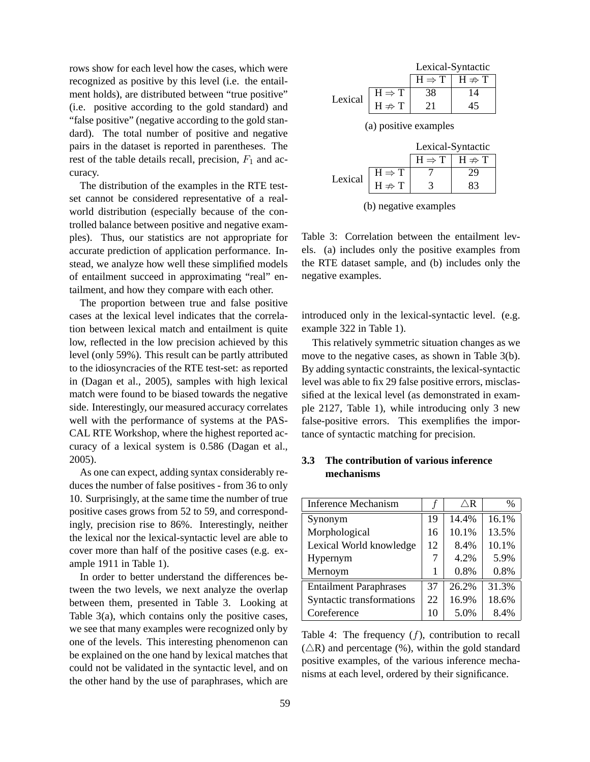rows show for each level how the cases, which were recognized as positive by this level (i.e. the entailment holds), are distributed between "true positive" (i.e. positive according to the gold standard) and "false positive" (negative according to the gold standard). The total number of positive and negative pairs in the dataset is reported in parentheses. The rest of the table details recall, precision,  $F_1$  and accuracy.

The distribution of the examples in the RTE testset cannot be considered representative of a realworld distribution (especially because of the controlled balance between positive and negative examples). Thus, our statistics are not appropriate for accurate prediction of application performance. Instead, we analyze how well these simplified models of entailment succeed in approximating "real" entailment, and how they compare with each other.

The proportion between true and false positive cases at the lexical level indicates that the correlation between lexical match and entailment is quite low, reflected in the low precision achieved by this level (only 59%). This result can be partly attributed to the idiosyncracies of the RTE test-set: as reported in (Dagan et al., 2005), samples with high lexical match were found to be biased towards the negative side. Interestingly, our measured accuracy correlates well with the performance of systems at the PAS-CAL RTE Workshop, where the highest reported accuracy of a lexical system is 0.586 (Dagan et al., 2005).

As one can expect, adding syntax considerably reduces the number of false positives - from 36 to only 10. Surprisingly, at the same time the number of true positive cases grows from 52 to 59, and correspondingly, precision rise to 86%. Interestingly, neither the lexical nor the lexical-syntactic level are able to cover more than half of the positive cases (e.g. example 1911 in Table 1).

In order to better understand the differences between the two levels, we next analyze the overlap between them, presented in Table 3. Looking at Table 3(a), which contains only the positive cases, we see that many examples were recognized only by one of the levels. This interesting phenomenon can be explained on the one hand by lexical matches that could not be validated in the syntactic level, and on the other hand by the use of paraphrases, which are

|                       |                                        | Lexical-Syntactic                      |                    |  |
|-----------------------|----------------------------------------|----------------------------------------|--------------------|--|
|                       |                                        | $H \Rightarrow T$                      | $H \nRightarrow T$ |  |
| Lexical               | $H \Rightarrow T$<br>$H \Rightarrow T$ | 38                                     | 14                 |  |
|                       |                                        | 21                                     | 45                 |  |
| (a) positive examples |                                        |                                        |                    |  |
| Lexical-Syntactic     |                                        |                                        |                    |  |
|                       |                                        | $H \Rightarrow T \mid H \Rightarrow T$ |                    |  |

|  | (b) negative examples |
|--|-----------------------|
|  |                       |

Lexical  $\begin{array}{|c|c|c|c|c|} \hline H & \Rightarrow T & 7 & 29 \\ H & \neq T & 3 & 83 \end{array}$  $H \nRightarrow T$ 

Table 3: Correlation between the entailment levels. (a) includes only the positive examples from the RTE dataset sample, and (b) includes only the negative examples.

introduced only in the lexical-syntactic level. (e.g. example 322 in Table 1).

This relatively symmetric situation changes as we move to the negative cases, as shown in Table 3(b). By adding syntactic constraints, the lexical-syntactic level was able to fix 29 false positive errors, misclassified at the lexical level (as demonstrated in example 2127, Table 1), while introducing only 3 new false-positive errors. This exemplifies the importance of syntactic matching for precision.

## **3.3 The contribution of various inference mechanisms**

| <b>Inference Mechanism</b>    |    | $\bigtriangleup{\mathbf R}$ | $\frac{0}{0}$ |
|-------------------------------|----|-----------------------------|---------------|
| Synonym                       | 19 | 14.4%                       | 16.1%         |
| Morphological                 | 16 | 10.1%                       | 13.5%         |
| Lexical World knowledge       | 12 | 8.4%                        | 10.1%         |
| Hypernym                      |    | 4.2%                        | 5.9%          |
| Mernoym                       |    | 0.8%                        | 0.8%          |
| <b>Entailment Paraphrases</b> | 37 | 26.2%                       | 31.3%         |
| Syntactic transformations     | 22 | 16.9%                       | 18.6%         |
| Coreference                   | 10 | 5.0%                        | 8.4%          |

Table 4: The frequency  $(f)$ , contribution to recall  $(\triangle R)$  and percentage (%), within the gold standard positive examples, of the various inference mechanisms at each level, ordered by their significance.